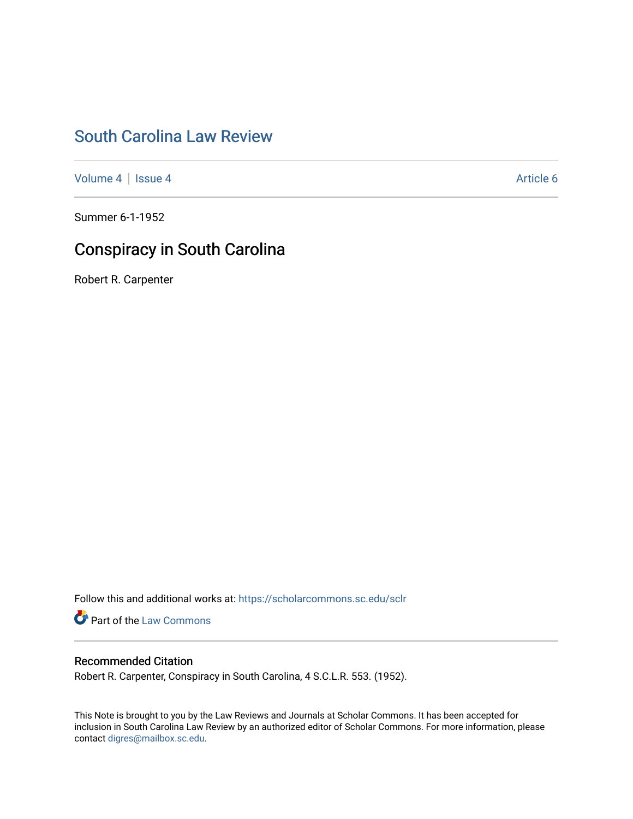## [South Carolina Law Review](https://scholarcommons.sc.edu/sclr)

[Volume 4](https://scholarcommons.sc.edu/sclr/vol4) | [Issue 4](https://scholarcommons.sc.edu/sclr/vol4/iss4) Article 6

Summer 6-1-1952

# Conspiracy in South Carolina

Robert R. Carpenter

Follow this and additional works at: [https://scholarcommons.sc.edu/sclr](https://scholarcommons.sc.edu/sclr?utm_source=scholarcommons.sc.edu%2Fsclr%2Fvol4%2Fiss4%2F6&utm_medium=PDF&utm_campaign=PDFCoverPages)

**Part of the [Law Commons](http://network.bepress.com/hgg/discipline/578?utm_source=scholarcommons.sc.edu%2Fsclr%2Fvol4%2Fiss4%2F6&utm_medium=PDF&utm_campaign=PDFCoverPages)** 

### Recommended Citation

Robert R. Carpenter, Conspiracy in South Carolina, 4 S.C.L.R. 553. (1952).

This Note is brought to you by the Law Reviews and Journals at Scholar Commons. It has been accepted for inclusion in South Carolina Law Review by an authorized editor of Scholar Commons. For more information, please contact [digres@mailbox.sc.edu.](mailto:digres@mailbox.sc.edu)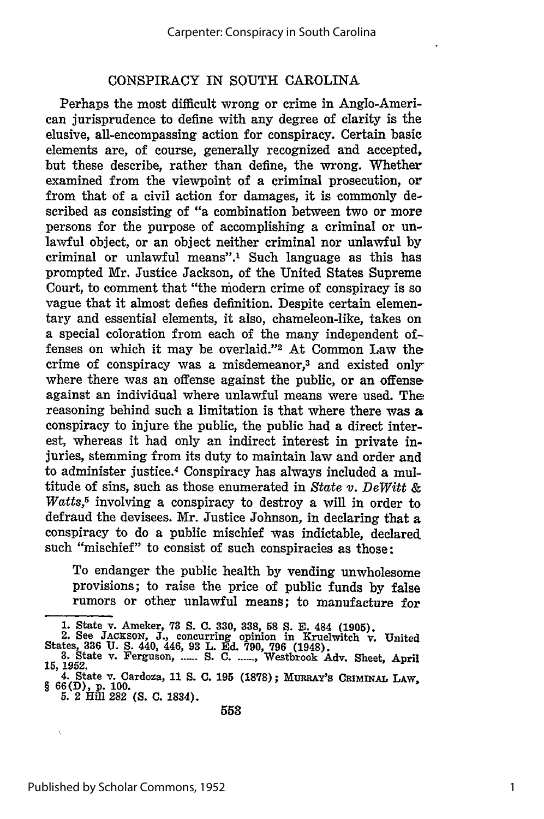#### CONSPIRACY IN SOUTH CAROLINA

Perhaps the most difficult wrong or crime in Anglo-American jurisprudence to define with any degree of clarity is the elusive, all-encompassing action for conspiracy. Certain basic elements are, of course, generally recognized and accepted, but these describe, rather than define, the wrong. Whether examined from the viewpoint of a criminal prosecution, or from that of a civil action for damages, it is commonly described as consisting of "a combination between two or more persons for the purpose of accomplishing a criminal or unlawful object, or an object neither criminal nor unlawful **by** criminal or unlawful means".' Such language as this has prompted Mr. Justice Jackson, of the United States Supreme Court, to comment that "the modern crime of conspiracy is so vague that it almost defies definition. Despite certain elementary and essential elements, it also, chameleon-like, takes on a special coloration from each of the many independent offenses on which it may be overlaid."<sup>2</sup> At Common Law the crime of conspiracy was a misdemeanor,<sup>3</sup> and existed onlywhere there was an offense against the public, or an offense against an individual where unlawful means were used. The reasoning behind such a limitation is that where there was a conspiracy to injure the public, the public had a direct interest, whereas it had only an indirect interest in private injuries, stemming from its duty to maintain law and order and to administer justice.4 Conspiracy has always included a multitude of sins, such as those enumerated in State *v. DeWitt & Watts,5* involving a conspiracy to destroy a will in order to defraud the devisees. Mr. Justice Johnson, in declaring that a conspiracy to do a public mischief was indictable, declared such "mischief" to consist of such conspiracies as those:

To endanger the public health **by** vending unwholesome provisions; to raise the price of public funds **by** false rumors or other unlawful means; to manufacture for

**<sup>1.</sup>** State v. Ameker, **73 S. C. 330, 338, 58 S. E.** 484 **(1905).** 2. See **JACESON, J.,** concurring opinion in Kruelwitch v. United

States, **836 U. S.** 440, 446, **93** L. **Ed. 790, 796** (1948). **3.** State v. Ferguson, **...... S. C. ....... ,** Westbrook Adv. Sheet, April **15, 1952.**

<sup>4.</sup> State v. Cardoza, **11 S. C. 195 (1878);** MunnAy's CRIMNAL LAW, § **66(D),** P. **100.**

**<sup>5.</sup>** 2 Hill **282 (S. C.** 1834).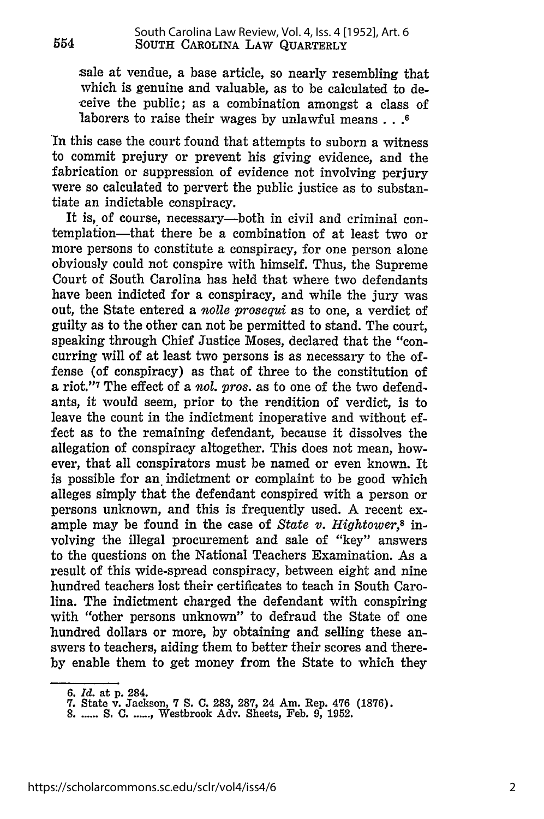sale at vendue, a base article, so nearly resembling that which is genuine and valuable, as to be calculated to deceive the public; as a combination amongst a class of laborers to raise their wages by unlawful **means...6**

In this case the court found that attempts to suborn a witness to commit prejury or prevent his giving evidence, and the fabrication or suppression of evidence not involving perjury were so calculated to pervert the public justice as to substantiate an indictable conspiracy.

It is, of course, necessary-both in civil and criminal contemplation-that there be a combination of at least two or more persons to constitute a conspiracy, for one person alone obviously could not conspire with himself. Thus, the Supreme Court of South Carolina has held that where two defendants have been indicted for a conspiracy, and while the jury was out, the State entered a *nolle prosequi* as to one, a verdict of guilty as to the other can not be permitted to stand. The court, speaking through Chief Justice Moses, declared that the "concurring will of at least two persons is as necessary to the offense (of conspiracy) as that of three to the constitution of a riot."7 The effect of a *nol. pros.* as to one of the two defendants, it would seem, prior to the rendition of verdict, is to leave the count in the indictment inoperative and without effect as to the remaining defendant, because it dissolves the allegation of conspiracy altogether. This does not mean, however, that all conspirators must be named or even known. It is possible for an indictment or complaint to be good which alleges simply that the defendant conspired with a person or persons unknown, and this is frequently used. A recent example may be found in the case of *State v. Hightower,8* involving the illegal procurement and sale of "key" answers to the questions on the National Teachers Examination. As a result of this wide-spread conspiracy, between eight and nine hundred teachers lost their certificates to teach in South Carolina. The indictment charged the defendant with conspiring with "other persons unknown" to defraud the State of one hundred dollars or more, by obtaining and selling these answers to teachers, aiding them to better their scores and thereby enable them to get money from the State to which they

*<sup>6.</sup> Id.* at p. 284.

**<sup>7.</sup>** State v. Jackson, 7 S. **C.** 283, 287, 24 Am. Rep. 476 (1876). **8 .......** S. **C ....... ,** Westbrook Adv. Sheets, Feb. 9, 1952.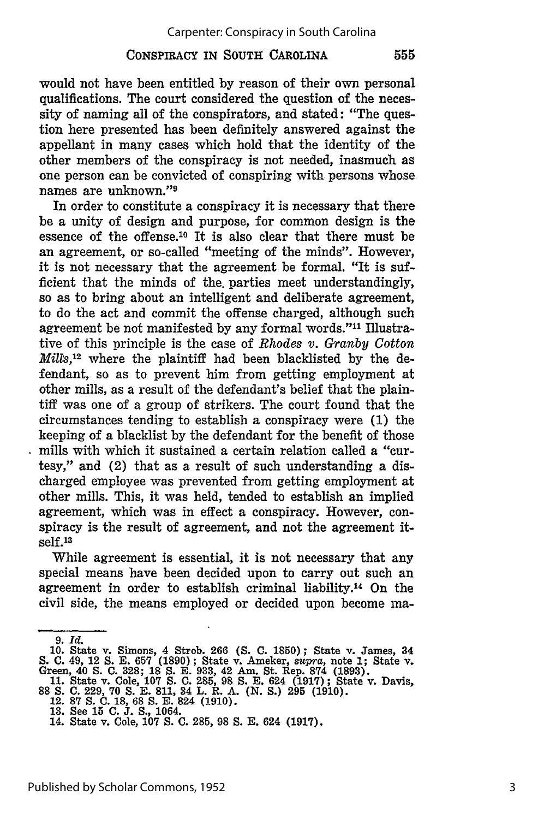### CONSPIRACY IN **SOUTH** CAROLINA

would not have been entitled **by** reason of their own personal qualifications. The court considered the question of the necessity of naming all of the conspirators, and stated: "The question here presented has been definitely answered against the appellant in many cases which hold that the identity of the other members of the conspiracy is not needed, inasmuch as one person can be convicted of conspiring with persons whose names are unknown."<sup>9</sup>

In order to constitute a conspiracy it is necessary that there be a unity of design and purpose, for common design is the essence of the offense.<sup>10</sup> It is also clear that there must be an agreement, or so-called "meeting of the minds". However, it is not necessary that the agreement be formal. "It is sufficient that the minds of the parties meet understandingly, so as to bring about an intelligent and deliberate agreement, to do the act and commit the offense charged, although such agreement be not manifested **by** any formal words."" Illustrative of this principle is the case of *Rhodes* v. *Granby Cotton Mi// , <sup>12</sup>*where the plaintiff had been blacklisted **by** the defendant, so as to prevent him from getting employment at other mills, as a result of the defendant's belief that the plaintiff was one of a group of strikers. The court found that the circumstances tending to establish a conspiracy were **(1)** the keeping of a blacklist **by** the defendant for the benefit of those mills with which it sustained a certain relation called a "curtesy," and (2) that as a result of such understanding a discharged employee was prevented from getting employment at other mills. This, it was held, tended to establish an implied agreement, which was in effect a conspiracy. However, conspiracy is the result of agreement, and not the agreement itself.13

While agreement is essential, it is not necessary that any special means have been decided upon to carry out such an agreement in order to establish criminal liability.14 On the civil side, the means employed or decided upon become ma-

*<sup>9.</sup> Id.*

<sup>10.</sup> State v. Simons, 4 Strob. 266 **(S. C.** 1850); State v. James, 34 **S. C.** 49, 12 **S. E. 657 (1890) ;** State v. Ameker, supra, note **1;** State v. Green, 40 **S. C. 328; 18 S. E. 933,** 42 Am. St. Rep. **874 (1893).**

**<sup>11.</sup>** State v. Cole, **107 S. C. 285, 98 S. E.** 624 **(1917);** State v. Davis, **88 S. C. 229, 70 S. E. 811,** 34 L. R. **A. (N.** *S.)* **295 (1910).**

<sup>12.</sup> **87 S. C. 18, 68 S. E.** 824 **(1910). 13.** See **15 C. J.** *S.,* 1064.

<sup>14.</sup> State v. Cole, **107 S. C. 285, 98 S. E.** 624 **(1917).**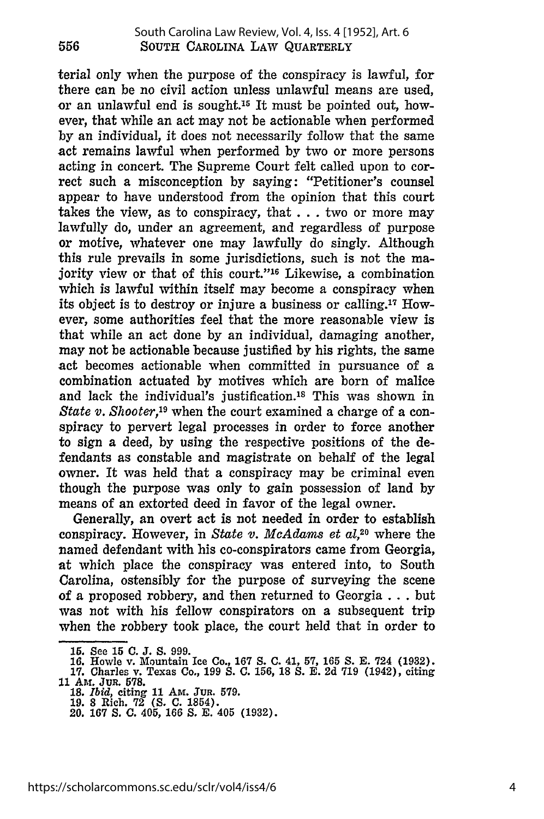terial only when the purpose of the conspiracy is lawful, for there can be no civil action unless unlawful means are used, or an unlawful end is sought.<sup>15</sup> It must be pointed out, however, that while an act may not be actionable when performed by an individual, it does not necessarily follow that the same act remains lawful when performed by two or more persons acting in concert. The Supreme Court felt called upon to correct such a misconception by saying: "Petitioner's counsel appear to have understood from the opinion that this court takes the view, as to conspiracy, that **...** two or more may lawfully do, under an agreement, and regardless of purpose or motive, whatever one may lawfully do singly. Although this rule prevails in some jurisdictions, such is not the majority view or that of this court." $16$  Likewise, a combination which is lawful within itself may become a conspiracy when its object is to destroy or injure a business or calling. 17 However, some authorities feel that the more reasonable view is that while an act done by an individual, damaging another, may not be actionable because justified by his rights, the same act becomes actionable when committed in pursuance of a combination actuated by motives which are born of malice and lack the individual's justification.<sup>18</sup> This was shown in *State v. Shooter*<sup>19</sup> when the court examined a charge of a conspiracy to pervert legal processes in order to force another to sign a deed, by using the respective positions of the defendants as constable and magistrate on behalf of the legal owner. It was held that a conspiracy may be criminal even though the purpose was only to gain possession of land by means of an extorted deed in favor of the legal owner.

Generally, an overt act is not needed in order to establish conspiracy. However, in *State v. McAdams et al,20* where the named defendant with his co-conspirators came from Georgia, at which place the conspiracy was entered into, to South Carolina, ostensibly for the purpose of surveying the scene of a proposed robbery, and then returned to Georgia ... but was not with his fellow conspirators on a subsequent trip when the robbery took place, the court held that in order to

<sup>15.</sup> See 15 C. J. S. 999.<br>16. Howle v. Mountain Ice Co., 167 S. C. 41, 57, 165 S. E. 724 (1932).<br>17. Charles v. Texas Co., 199 S. C. 156, 18 S. E. 2d 719 (1942), citing<br>11 AM. JUR. 578.

**<sup>18.</sup>** *Iid,* citing **11** Am. JuR. **579.**

**<sup>19. 8</sup>** Rich. **72 (S. C.** 1854). 20. **167 S. C. 405, 166 S. E.** 405 **(1932).**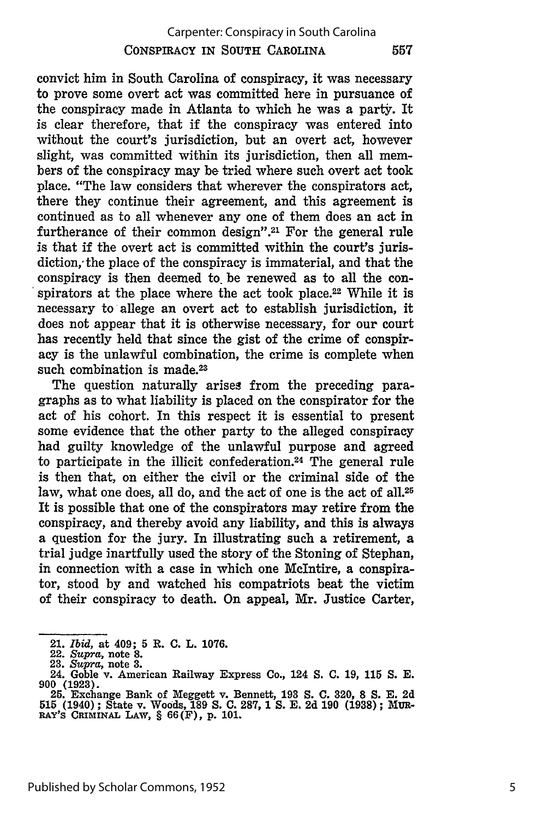557

convict him in South Carolina of conspiracy, it was necessary to prove some overt act was committed here in pursuance of the conspiracy made in Atlanta to which he was a party. It is clear therefore, that if the conspiracy was entered into without the court's jurisdiction, but an overt act, however slight, was committed within its jurisdiction, then all members of the conspiracy may be tried where such overt act took place. "The law considers that wherever the conspirators act, there they continue their agreement, and this agreement is continued as to all whenever any one of them does an act in furtherance of their common design".<sup>21</sup> For the general rule is that if the overt act is committed within the court's jurisdiction,' the place of the conspiracy is immaterial, and that the conspiracy is then deemed to. be renewed as to all the conspirators at the place where the act took place.<sup>22</sup> While it is necessary to'allege an overt act to establish jurisdiction, it does not appear that it is otherwise necessary, for our court has recently held that since the gist of the crime of conspiracy is the unlawful combination, the crime is complete when such combination is made.<sup>23</sup>

The question naturally arises from the preceding paragraphs as to what liability is placed on the conspirator for the act of his cohort. In this respect it is essential to present some evidence that the other party to the alleged conspiracy had guilty knowledge of the unlawful purpose and agreed to participate in the illicit confederation.<sup>24</sup> The general rule is then that, on either the civil or the criminal side of the law, what one does, all do, and the act of one is the act of all.<sup>25</sup> It is possible that one of the conspirators may retire from the conspiracy, and thereby avoid any liability, and this is always a question for the jury. In illustrating such a retirement, a trial judge inartfully used the story of the Stoning of Stephan, in connection with a case in which one McIntire, a conspirator, stood by and watched his compatriots beat the victim of their conspiracy to death. On appeal, Mr. Justice Carter,

<sup>21.</sup> *Ibid,* at 409; **5** R. **C.** L. 1076.

<sup>22.</sup> *Supra,* **note 8.**

<sup>23.</sup> *Supra,* note **3.**

<sup>24.</sup> Goble v. American Railway Express Co., 124 **S. C.** 19, 115 *S.* E. 900 (1923). **25.** Exchange Bank of Meggett v. Bennett, **193 S. C.** 320, 8 **S. E.** 2d

**<sup>515</sup>** (1940) ; State v. Woods, **189 S. C. 287,** 1 **S.** E. 2d 190 (1938) ; MUR-**RAY's CRIMINAL LAW,** § 66(F), **p.** 101.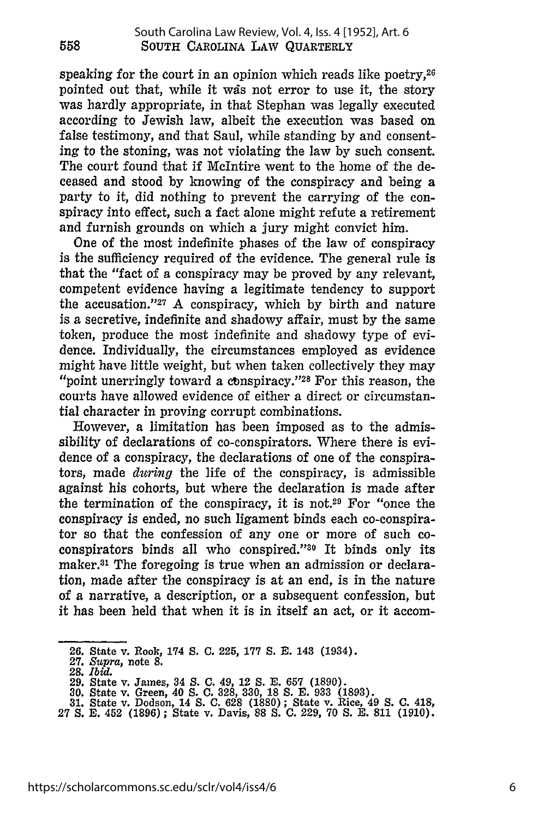speaking for the court in an opinion which reads like poetry,<sup>26</sup> pointed out that, while it wds not error to use it, the story was hardly appropriate, in that Stephan was legally executed according to Jewish law, albeit the execution was based on false testimony, and that Saul, while standing by and consenting to the stoning, was not violating the law by such consent. The court found that if McIntire went to the home of the deceased and stood by knowing of the conspiracy and being a party to it, did nothing to prevent the carrying of the conspiracy into effect, such a fact alone might refute a retirement and furnish grounds on which a jury might convict him.

One of the most indefinite phases of the law of conspiracy is the sufficiency required of the evidence. The general rule is that the "fact of a conspiracy may be proved by any relevant, competent evidence having a legitimate tendency to support the accusation."<sup>27</sup> A conspiracy, which by birth and nature is a secretive, indefinite and shadowy affair, must by the same token, produce the most indefinite and shadowy type of evidence. Individually, the circumstances employed as evidence might have little weight, but when taken collectively they may "point unerringly toward a conspiracy."<sup>28</sup> For this reason, the courts have allowed evidence of either a direct or circumstantial character in proving corrupt combinations.

However, a limitation has been imposed as to the admissibility of declarations of co-conspirators. Where there is evidence of a conspiracy, the declarations of one of the conspirators, made *during* the life of the conspiracy, is admissible against his cohorts, but where the declaration is made after the termination of the conspiracy, it is not.29 For "once the conspiracy is ended, no such ligament binds each co-conspirator so that the confession of any one or more of such coconspirators binds all who conspired."30 It binds only its maker.<sup>31</sup> The foregoing is true when an admission or declaration, made after the conspiracy is at an end, is in the nature of a narrative, a description, or a subsequent confession, but it has been held that when it is in itself an act, or it accom-

**<sup>26.</sup>** State v. Rook, 174 **S. C.** 225, **177 S. E.** 143 (1934).

**<sup>27.</sup>** Supra, note **8.**

**<sup>28.</sup>** *Ibid.*

**<sup>29.</sup>** State v. James, 34 **S. C.** 49, 12 **S. E. 657** (1890).

**<sup>30.</sup>** State v. Green, 40 **S. C.** 328, 330, **18 S. E.** 933 (1893). **31.** State v. Dodson, 14 **S. C. 628 (1880);** State v. Rice, 49 **S. C.** 418,

<sup>27</sup> **S. E.** 452 (1896); State v. Davis, 88 **S.** C. 229, 70 **S. E.** 811 (1910).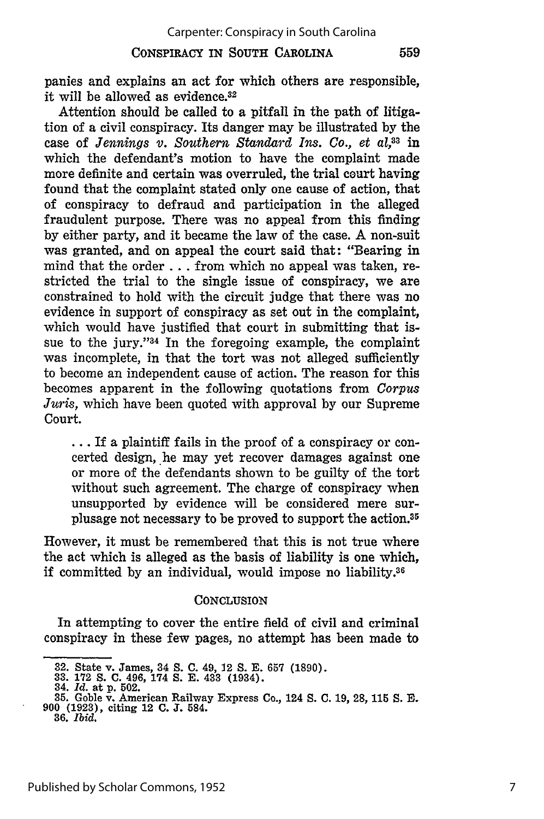#### **CONSPIRACY IN SOUTH CAROLINA**

559

panies and explains an act for which others are responsible, it will be allowed as evidence.<sup>32</sup>

Attention should be called to a pitfall in the path of litigation of a civil conspiracy. Its danger may be illustrated **by** the case of *Jennings v. Southern Standard Ins. Co., et al,33* in which the defendant's motion to have the complaint made more definite and certain was overruled, the trial court having found that the complaint stated only one cause of action, that of conspiracy to defraud and participation in the alleged fraudulent purpose. There was no appeal from this finding by either party, and it became the law of the case. A non-suit was granted, and on appeal the court said that: "Bearing in mind that the order **...** from which no appeal was taken, restricted the trial to the single issue of conspiracy, we are constrained to hold with the circuit judge that there was no evidence in support of conspiracy as set out in the complaint, which would have justified that court in submitting that issue to the jury." $34$  In the foregoing example, the complaint was incomplete, in that the tort was not alleged sufficiently to become an independent cause of action. The reason for this becomes apparent in the following quotations from *Corpus Juris,* which have been quoted with approval by our Supreme Court.

**...** If a plaintiff fails in the proof of a conspiracy or concerted design, he may yet recover damages against one or more of the defendants shown to be guilty of the tort without such agreement. The charge of conspiracy when unsupported by evidence will be considered mere surplusage not necessary to be proved to support the action.<sup>35</sup>

However, it must be remembered that this is not true where the act which is alleged as the basis of liability is one which, if committed by an individual, would impose no liability.36

#### **CONCLUSION**

In attempting to cover the entire field of civil and criminal conspiracy in these few pages, no attempt has been made to

<sup>32.</sup> State v. James, 34 **S. C.** 49, 12 **S. E. 657 (1890). 33. 172 S. C.** 496, 174 **S. E.** 433 (1934).

<sup>34.</sup> *Id.* at **p. 502.**

**<sup>35.</sup>** Goble v. American Railway Express Co., 124 **S. C. 19, 28, 115 S. E. 900 (1923),** citing 12 **C. J.** 584. **36.** *Ibid.*